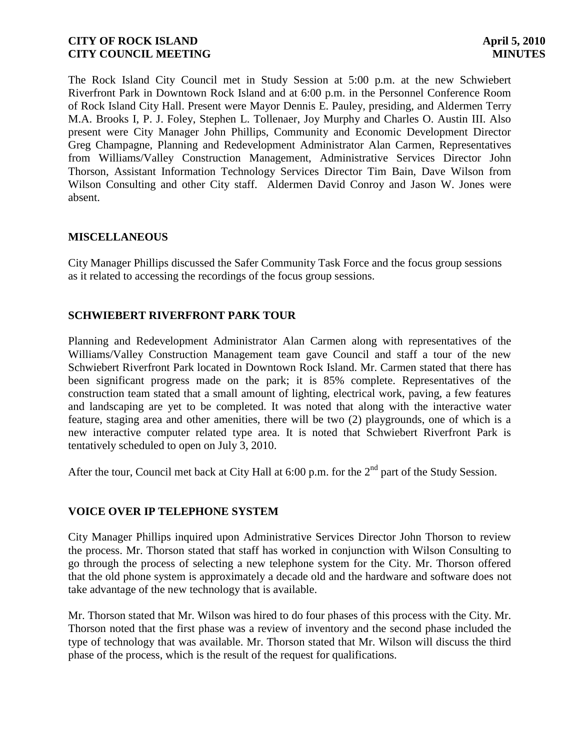The Rock Island City Council met in Study Session at 5:00 p.m. at the new Schwiebert Riverfront Park in Downtown Rock Island and at 6:00 p.m. in the Personnel Conference Room of Rock Island City Hall. Present were Mayor Dennis E. Pauley, presiding, and Aldermen Terry M.A. Brooks I, P. J. Foley, Stephen L. Tollenaer, Joy Murphy and Charles O. Austin III. Also present were City Manager John Phillips, Community and Economic Development Director Greg Champagne, Planning and Redevelopment Administrator Alan Carmen, Representatives from Williams/Valley Construction Management, Administrative Services Director John Thorson, Assistant Information Technology Services Director Tim Bain, Dave Wilson from Wilson Consulting and other City staff. Aldermen David Conroy and Jason W. Jones were absent.

# **MISCELLANEOUS**

City Manager Phillips discussed the Safer Community Task Force and the focus group sessions as it related to accessing the recordings of the focus group sessions.

# **SCHWIEBERT RIVERFRONT PARK TOUR**

Planning and Redevelopment Administrator Alan Carmen along with representatives of the Williams/Valley Construction Management team gave Council and staff a tour of the new Schwiebert Riverfront Park located in Downtown Rock Island. Mr. Carmen stated that there has been significant progress made on the park; it is 85% complete. Representatives of the construction team stated that a small amount of lighting, electrical work, paving, a few features and landscaping are yet to be completed. It was noted that along with the interactive water feature, staging area and other amenities, there will be two (2) playgrounds, one of which is a new interactive computer related type area. It is noted that Schwiebert Riverfront Park is tentatively scheduled to open on July 3, 2010.

After the tour, Council met back at City Hall at 6:00 p.m. for the 2<sup>nd</sup> part of the Study Session.

#### **VOICE OVER IP TELEPHONE SYSTEM**

City Manager Phillips inquired upon Administrative Services Director John Thorson to review the process. Mr. Thorson stated that staff has worked in conjunction with Wilson Consulting to go through the process of selecting a new telephone system for the City. Mr. Thorson offered that the old phone system is approximately a decade old and the hardware and software does not take advantage of the new technology that is available.

Mr. Thorson stated that Mr. Wilson was hired to do four phases of this process with the City. Mr. Thorson noted that the first phase was a review of inventory and the second phase included the type of technology that was available. Mr. Thorson stated that Mr. Wilson will discuss the third phase of the process, which is the result of the request for qualifications.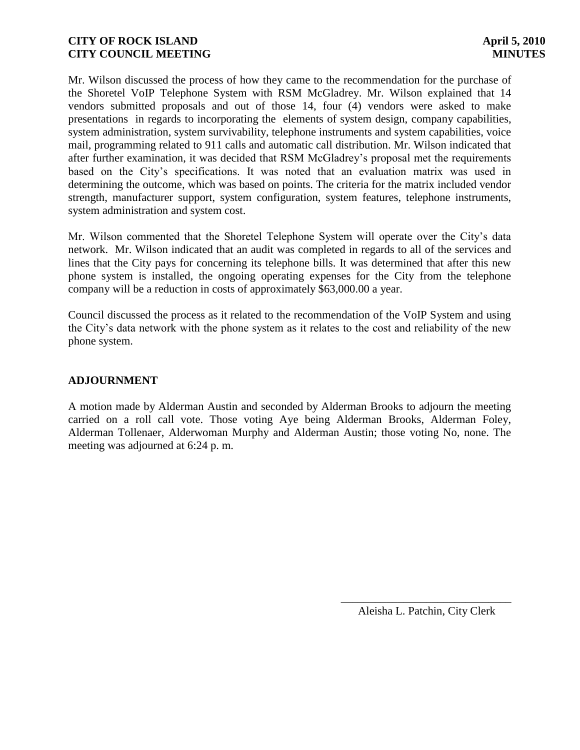Mr. Wilson discussed the process of how they came to the recommendation for the purchase of the Shoretel VoIP Telephone System with RSM McGladrey. Mr. Wilson explained that 14 vendors submitted proposals and out of those 14, four (4) vendors were asked to make presentations in regards to incorporating the elements of system design, company capabilities, system administration, system survivability, telephone instruments and system capabilities, voice mail, programming related to 911 calls and automatic call distribution. Mr. Wilson indicated that after further examination, it was decided that RSM McGladrey's proposal met the requirements based on the City's specifications. It was noted that an evaluation matrix was used in determining the outcome, which was based on points. The criteria for the matrix included vendor strength, manufacturer support, system configuration, system features, telephone instruments, system administration and system cost.

Mr. Wilson commented that the Shoretel Telephone System will operate over the City's data network. Mr. Wilson indicated that an audit was completed in regards to all of the services and lines that the City pays for concerning its telephone bills. It was determined that after this new phone system is installed, the ongoing operating expenses for the City from the telephone company will be a reduction in costs of approximately \$63,000.00 a year.

Council discussed the process as it related to the recommendation of the VoIP System and using the City's data network with the phone system as it relates to the cost and reliability of the new phone system.

# **ADJOURNMENT**

A motion made by Alderman Austin and seconded by Alderman Brooks to adjourn the meeting carried on a roll call vote. Those voting Aye being Alderman Brooks, Alderman Foley, Alderman Tollenaer, Alderwoman Murphy and Alderman Austin; those voting No, none. The meeting was adjourned at 6:24 p. m.

> \_\_\_\_\_\_\_\_\_\_\_\_\_\_\_\_\_\_\_\_\_\_\_\_\_\_\_\_\_\_ Aleisha L. Patchin, City Clerk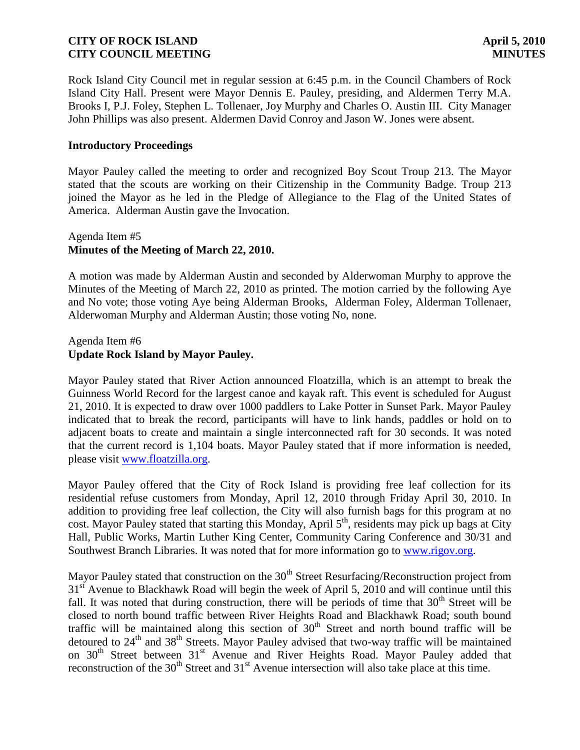Rock Island City Council met in regular session at 6:45 p.m. in the Council Chambers of Rock Island City Hall. Present were Mayor Dennis E. Pauley, presiding, and Aldermen Terry M.A. Brooks I, P.J. Foley, Stephen L. Tollenaer, Joy Murphy and Charles O. Austin III. City Manager John Phillips was also present. Aldermen David Conroy and Jason W. Jones were absent.

#### **Introductory Proceedings**

Mayor Pauley called the meeting to order and recognized Boy Scout Troup 213. The Mayor stated that the scouts are working on their Citizenship in the Community Badge. Troup 213 joined the Mayor as he led in the Pledge of Allegiance to the Flag of the United States of America. Alderman Austin gave the Invocation.

#### Agenda Item #5 **Minutes of the Meeting of March 22, 2010.**

A motion was made by Alderman Austin and seconded by Alderwoman Murphy to approve the Minutes of the Meeting of March 22, 2010 as printed. The motion carried by the following Aye and No vote; those voting Aye being Alderman Brooks, Alderman Foley, Alderman Tollenaer, Alderwoman Murphy and Alderman Austin; those voting No, none.

#### Agenda Item #6 **Update Rock Island by Mayor Pauley.**

Mayor Pauley stated that River Action announced Floatzilla, which is an attempt to break the Guinness World Record for the largest canoe and kayak raft. This event is scheduled for August 21, 2010. It is expected to draw over 1000 paddlers to Lake Potter in Sunset Park. Mayor Pauley indicated that to break the record, participants will have to link hands, paddles or hold on to adjacent boats to create and maintain a single interconnected raft for 30 seconds. It was noted that the current record is 1,104 boats. Mayor Pauley stated that if more information is needed, please visit [www.floatzilla.org.](http://www.floatzilla.org/)

Mayor Pauley offered that the City of Rock Island is providing free leaf collection for its residential refuse customers from Monday, April 12, 2010 through Friday April 30, 2010. In addition to providing free leaf collection, the City will also furnish bags for this program at no cost. Mayor Pauley stated that starting this Monday, April  $5<sup>th</sup>$ , residents may pick up bags at City Hall, Public Works, Martin Luther King Center, Community Caring Conference and 30/31 and Southwest Branch Libraries. It was noted that for more information go to [www.rigov.org.](http://www.rigov.org/)

Mayor Pauley stated that construction on the  $30<sup>th</sup>$  Street Resurfacing/Reconstruction project from  $31<sup>st</sup>$  Avenue to Blackhawk Road will begin the week of April 5, 2010 and will continue until this fall. It was noted that during construction, there will be periods of time that  $30<sup>th</sup>$  Street will be closed to north bound traffic between River Heights Road and Blackhawk Road; south bound traffic will be maintained along this section of  $30<sup>th</sup>$  Street and north bound traffic will be detoured to 24<sup>th</sup> and 38<sup>th</sup> Streets. Mayor Pauley advised that two-way traffic will be maintained on 30<sup>th</sup> Street between 31<sup>st</sup> Avenue and River Heights Road. Mayor Pauley added that reconstruction of the 30<sup>th</sup> Street and 31<sup>st</sup> Avenue intersection will also take place at this time.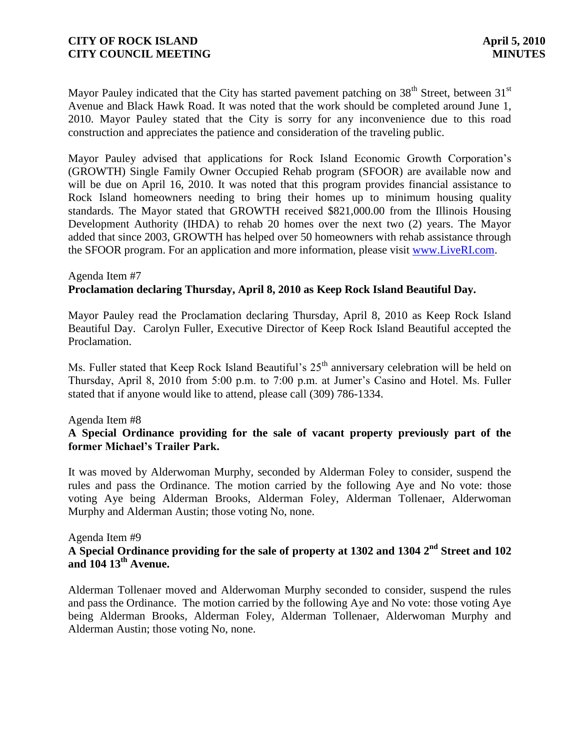Mayor Pauley indicated that the City has started pavement patching on  $38<sup>th</sup>$  Street, between  $31<sup>st</sup>$ Avenue and Black Hawk Road. It was noted that the work should be completed around June 1, 2010. Mayor Pauley stated that the City is sorry for any inconvenience due to this road construction and appreciates the patience and consideration of the traveling public.

Mayor Pauley advised that applications for Rock Island Economic Growth Corporation's (GROWTH) Single Family Owner Occupied Rehab program (SFOOR) are available now and will be due on April 16, 2010. It was noted that this program provides financial assistance to Rock Island homeowners needing to bring their homes up to minimum housing quality standards. The Mayor stated that GROWTH received \$821,000.00 from the Illinois Housing Development Authority (IHDA) to rehab 20 homes over the next two (2) years. The Mayor added that since 2003, GROWTH has helped over 50 homeowners with rehab assistance through the SFOOR program. For an application and more information, please visit [www.LiveRI.com.](http://www.liveri.com/)

# Agenda Item #7 **Proclamation declaring Thursday, April 8, 2010 as Keep Rock Island Beautiful Day.**

Mayor Pauley read the Proclamation declaring Thursday, April 8, 2010 as Keep Rock Island Beautiful Day. Carolyn Fuller, Executive Director of Keep Rock Island Beautiful accepted the Proclamation.

Ms. Fuller stated that Keep Rock Island Beautiful's  $25<sup>th</sup>$  anniversary celebration will be held on Thursday, April 8, 2010 from 5:00 p.m. to 7:00 p.m. at Jumer's Casino and Hotel. Ms. Fuller stated that if anyone would like to attend, please call (309) 786-1334.

#### Agenda Item #8

# **A Special Ordinance providing for the sale of vacant property previously part of the former Michael's Trailer Park.**

It was moved by Alderwoman Murphy, seconded by Alderman Foley to consider, suspend the rules and pass the Ordinance. The motion carried by the following Aye and No vote: those voting Aye being Alderman Brooks, Alderman Foley, Alderman Tollenaer, Alderwoman Murphy and Alderman Austin; those voting No, none.

#### Agenda Item #9

# **A Special Ordinance providing for the sale of property at 1302 and 1304 2nd Street and 102 and 104 13th Avenue.**

Alderman Tollenaer moved and Alderwoman Murphy seconded to consider, suspend the rules and pass the Ordinance. The motion carried by the following Aye and No vote: those voting Aye being Alderman Brooks, Alderman Foley, Alderman Tollenaer, Alderwoman Murphy and Alderman Austin; those voting No, none.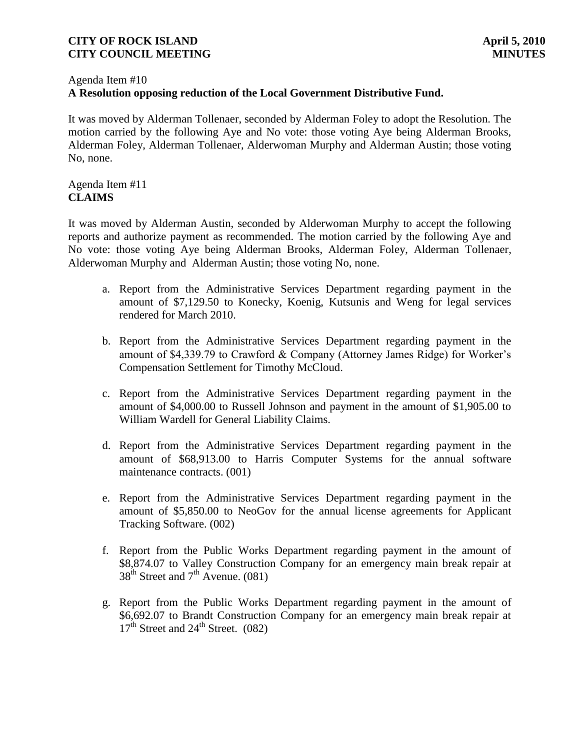#### Agenda Item #10

# **A Resolution opposing reduction of the Local Government Distributive Fund.**

It was moved by Alderman Tollenaer, seconded by Alderman Foley to adopt the Resolution. The motion carried by the following Aye and No vote: those voting Aye being Alderman Brooks, Alderman Foley, Alderman Tollenaer, Alderwoman Murphy and Alderman Austin; those voting No, none.

### Agenda Item #11 **CLAIMS**

It was moved by Alderman Austin, seconded by Alderwoman Murphy to accept the following reports and authorize payment as recommended. The motion carried by the following Aye and No vote: those voting Aye being Alderman Brooks, Alderman Foley, Alderman Tollenaer, Alderwoman Murphy and Alderman Austin; those voting No, none.

- a. Report from the Administrative Services Department regarding payment in the amount of \$7,129.50 to Konecky, Koenig, Kutsunis and Weng for legal services rendered for March 2010.
- b. Report from the Administrative Services Department regarding payment in the amount of \$4,339.79 to Crawford & Company (Attorney James Ridge) for Worker's Compensation Settlement for Timothy McCloud.
- c. Report from the Administrative Services Department regarding payment in the amount of \$4,000.00 to Russell Johnson and payment in the amount of \$1,905.00 to William Wardell for General Liability Claims.
- d. Report from the Administrative Services Department regarding payment in the amount of \$68,913.00 to Harris Computer Systems for the annual software maintenance contracts. (001)
- e. Report from the Administrative Services Department regarding payment in the amount of \$5,850.00 to NeoGov for the annual license agreements for Applicant Tracking Software. (002)
- f. Report from the Public Works Department regarding payment in the amount of \$8,874.07 to Valley Construction Company for an emergency main break repair at  $38<sup>th</sup>$  Street and  $7<sup>th</sup>$  Avenue. (081)
- g. Report from the Public Works Department regarding payment in the amount of \$6,692.07 to Brandt Construction Company for an emergency main break repair at  $17<sup>th</sup>$  Street and  $24<sup>th</sup>$  Street. (082)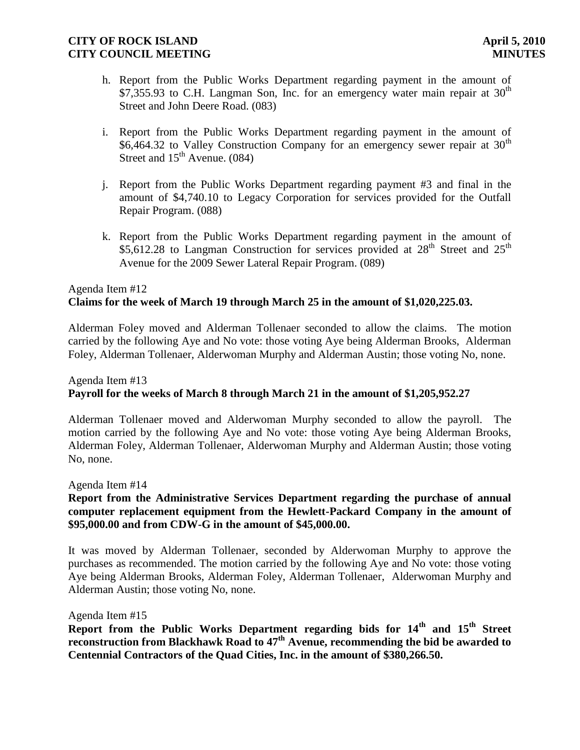- h. Report from the Public Works Department regarding payment in the amount of \$7,355.93 to C.H. Langman Son, Inc. for an emergency water main repair at  $30<sup>th</sup>$ Street and John Deere Road. (083)
- i. Report from the Public Works Department regarding payment in the amount of \$6,464.32 to Valley Construction Company for an emergency sewer repair at  $30<sup>th</sup>$ Street and  $15<sup>th</sup>$  Avenue. (084)
- j. Report from the Public Works Department regarding payment #3 and final in the amount of \$4,740.10 to Legacy Corporation for services provided for the Outfall Repair Program. (088)
- k. Report from the Public Works Department regarding payment in the amount of \$5,612.28 to Langman Construction for services provided at  $28<sup>th</sup>$  Street and  $25<sup>th</sup>$ Avenue for the 2009 Sewer Lateral Repair Program. (089)

# Agenda Item #12 **Claims for the week of March 19 through March 25 in the amount of \$1,020,225.03.**

Alderman Foley moved and Alderman Tollenaer seconded to allow the claims. The motion carried by the following Aye and No vote: those voting Aye being Alderman Brooks, Alderman Foley, Alderman Tollenaer, Alderwoman Murphy and Alderman Austin; those voting No, none.

# Agenda Item #13 **Payroll for the weeks of March 8 through March 21 in the amount of \$1,205,952.27**

Alderman Tollenaer moved and Alderwoman Murphy seconded to allow the payroll. The motion carried by the following Aye and No vote: those voting Aye being Alderman Brooks, Alderman Foley, Alderman Tollenaer, Alderwoman Murphy and Alderman Austin; those voting No, none.

#### Agenda Item #14

## **Report from the Administrative Services Department regarding the purchase of annual computer replacement equipment from the Hewlett-Packard Company in the amount of \$95,000.00 and from CDW-G in the amount of \$45,000.00.**

It was moved by Alderman Tollenaer, seconded by Alderwoman Murphy to approve the purchases as recommended. The motion carried by the following Aye and No vote: those voting Aye being Alderman Brooks, Alderman Foley, Alderman Tollenaer, Alderwoman Murphy and Alderman Austin; those voting No, none.

Agenda Item #15

**Report from the Public Works Department regarding bids for 14th and 15th Street reconstruction from Blackhawk Road to 47th Avenue, recommending the bid be awarded to Centennial Contractors of the Quad Cities, Inc. in the amount of \$380,266.50.**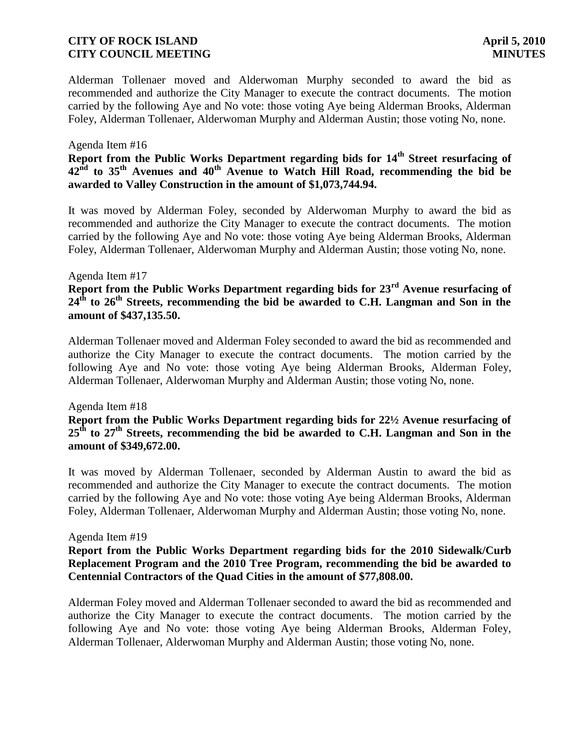Alderman Tollenaer moved and Alderwoman Murphy seconded to award the bid as recommended and authorize the City Manager to execute the contract documents. The motion carried by the following Aye and No vote: those voting Aye being Alderman Brooks, Alderman Foley, Alderman Tollenaer, Alderwoman Murphy and Alderman Austin; those voting No, none.

#### Agenda Item #16

# **Report from the Public Works Department regarding bids for 14th Street resurfacing of 42nd to 35th Avenues and 40th Avenue to Watch Hill Road, recommending the bid be awarded to Valley Construction in the amount of \$1,073,744.94.**

It was moved by Alderman Foley, seconded by Alderwoman Murphy to award the bid as recommended and authorize the City Manager to execute the contract documents. The motion carried by the following Aye and No vote: those voting Aye being Alderman Brooks, Alderman Foley, Alderman Tollenaer, Alderwoman Murphy and Alderman Austin; those voting No, none.

#### Agenda Item #17

# **Report from the Public Works Department regarding bids for 23rd Avenue resurfacing of 24th to 26th Streets, recommending the bid be awarded to C.H. Langman and Son in the amount of \$437,135.50.**

Alderman Tollenaer moved and Alderman Foley seconded to award the bid as recommended and authorize the City Manager to execute the contract documents. The motion carried by the following Aye and No vote: those voting Aye being Alderman Brooks, Alderman Foley, Alderman Tollenaer, Alderwoman Murphy and Alderman Austin; those voting No, none.

#### Agenda Item #18

# **Report from the Public Works Department regarding bids for 22½ Avenue resurfacing of 25th to 27th Streets, recommending the bid be awarded to C.H. Langman and Son in the amount of \$349,672.00.**

It was moved by Alderman Tollenaer, seconded by Alderman Austin to award the bid as recommended and authorize the City Manager to execute the contract documents. The motion carried by the following Aye and No vote: those voting Aye being Alderman Brooks, Alderman Foley, Alderman Tollenaer, Alderwoman Murphy and Alderman Austin; those voting No, none.

#### Agenda Item #19

## **Report from the Public Works Department regarding bids for the 2010 Sidewalk/Curb Replacement Program and the 2010 Tree Program, recommending the bid be awarded to Centennial Contractors of the Quad Cities in the amount of \$77,808.00.**

Alderman Foley moved and Alderman Tollenaer seconded to award the bid as recommended and authorize the City Manager to execute the contract documents. The motion carried by the following Aye and No vote: those voting Aye being Alderman Brooks, Alderman Foley, Alderman Tollenaer, Alderwoman Murphy and Alderman Austin; those voting No, none.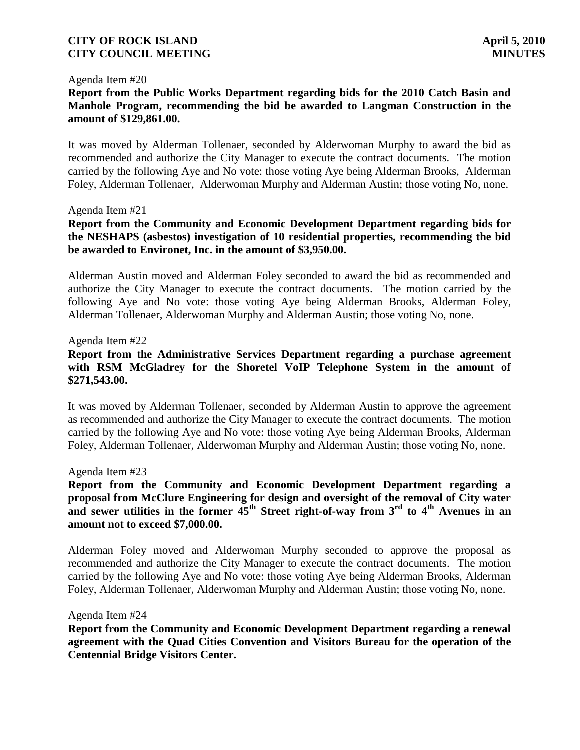#### Agenda Item #20

## **Report from the Public Works Department regarding bids for the 2010 Catch Basin and Manhole Program, recommending the bid be awarded to Langman Construction in the amount of \$129,861.00.**

It was moved by Alderman Tollenaer, seconded by Alderwoman Murphy to award the bid as recommended and authorize the City Manager to execute the contract documents. The motion carried by the following Aye and No vote: those voting Aye being Alderman Brooks, Alderman Foley, Alderman Tollenaer, Alderwoman Murphy and Alderman Austin; those voting No, none.

#### Agenda Item #21

# **Report from the Community and Economic Development Department regarding bids for the NESHAPS (asbestos) investigation of 10 residential properties, recommending the bid be awarded to Environet, Inc. in the amount of \$3,950.00.**

Alderman Austin moved and Alderman Foley seconded to award the bid as recommended and authorize the City Manager to execute the contract documents. The motion carried by the following Aye and No vote: those voting Aye being Alderman Brooks, Alderman Foley, Alderman Tollenaer, Alderwoman Murphy and Alderman Austin; those voting No, none.

#### Agenda Item #22

## **Report from the Administrative Services Department regarding a purchase agreement with RSM McGladrey for the Shoretel VoIP Telephone System in the amount of \$271,543.00.**

It was moved by Alderman Tollenaer, seconded by Alderman Austin to approve the agreement as recommended and authorize the City Manager to execute the contract documents. The motion carried by the following Aye and No vote: those voting Aye being Alderman Brooks, Alderman Foley, Alderman Tollenaer, Alderwoman Murphy and Alderman Austin; those voting No, none.

#### Agenda Item #23

# **Report from the Community and Economic Development Department regarding a proposal from McClure Engineering for design and oversight of the removal of City water**  and sewer utilities in the former  $45^{\text{th}}$  Street right-of-way from  $3^{\text{rd}}$  to  $4^{\text{th}}$  Avenues in an **amount not to exceed \$7,000.00.**

Alderman Foley moved and Alderwoman Murphy seconded to approve the proposal as recommended and authorize the City Manager to execute the contract documents. The motion carried by the following Aye and No vote: those voting Aye being Alderman Brooks, Alderman Foley, Alderman Tollenaer, Alderwoman Murphy and Alderman Austin; those voting No, none.

#### Agenda Item #24

**Report from the Community and Economic Development Department regarding a renewal agreement with the Quad Cities Convention and Visitors Bureau for the operation of the Centennial Bridge Visitors Center.**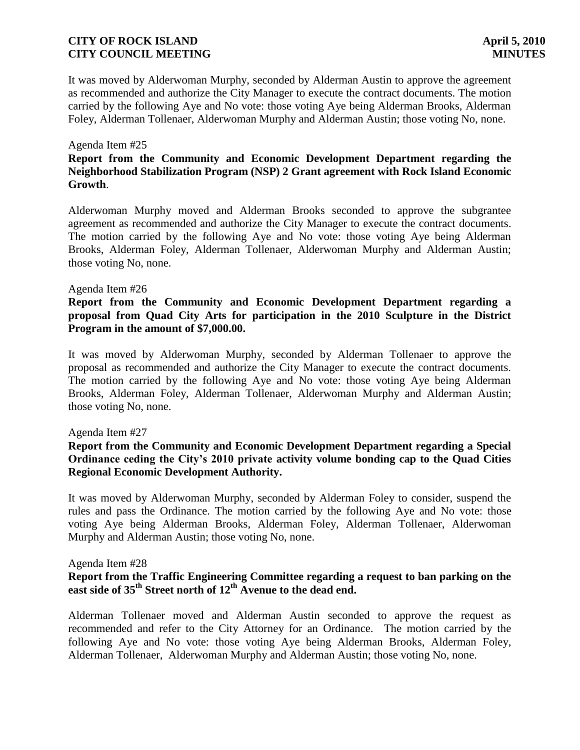It was moved by Alderwoman Murphy, seconded by Alderman Austin to approve the agreement as recommended and authorize the City Manager to execute the contract documents. The motion carried by the following Aye and No vote: those voting Aye being Alderman Brooks, Alderman Foley, Alderman Tollenaer, Alderwoman Murphy and Alderman Austin; those voting No, none.

#### Agenda Item #25

# **Report from the Community and Economic Development Department regarding the Neighborhood Stabilization Program (NSP) 2 Grant agreement with Rock Island Economic Growth**.

Alderwoman Murphy moved and Alderman Brooks seconded to approve the subgrantee agreement as recommended and authorize the City Manager to execute the contract documents. The motion carried by the following Aye and No vote: those voting Aye being Alderman Brooks, Alderman Foley, Alderman Tollenaer, Alderwoman Murphy and Alderman Austin; those voting No, none.

#### Agenda Item #26

## **Report from the Community and Economic Development Department regarding a proposal from Quad City Arts for participation in the 2010 Sculpture in the District Program in the amount of \$7,000.00.**

It was moved by Alderwoman Murphy, seconded by Alderman Tollenaer to approve the proposal as recommended and authorize the City Manager to execute the contract documents. The motion carried by the following Aye and No vote: those voting Aye being Alderman Brooks, Alderman Foley, Alderman Tollenaer, Alderwoman Murphy and Alderman Austin; those voting No, none.

#### Agenda Item #27

# **Report from the Community and Economic Development Department regarding a Special Ordinance ceding the City's 2010 private activity volume bonding cap to the Quad Cities Regional Economic Development Authority.**

It was moved by Alderwoman Murphy, seconded by Alderman Foley to consider, suspend the rules and pass the Ordinance. The motion carried by the following Aye and No vote: those voting Aye being Alderman Brooks, Alderman Foley, Alderman Tollenaer, Alderwoman Murphy and Alderman Austin; those voting No, none.

#### Agenda Item #28

## **Report from the Traffic Engineering Committee regarding a request to ban parking on the east side of 35th Street north of 12th Avenue to the dead end.**

Alderman Tollenaer moved and Alderman Austin seconded to approve the request as recommended and refer to the City Attorney for an Ordinance. The motion carried by the following Aye and No vote: those voting Aye being Alderman Brooks, Alderman Foley, Alderman Tollenaer, Alderwoman Murphy and Alderman Austin; those voting No, none.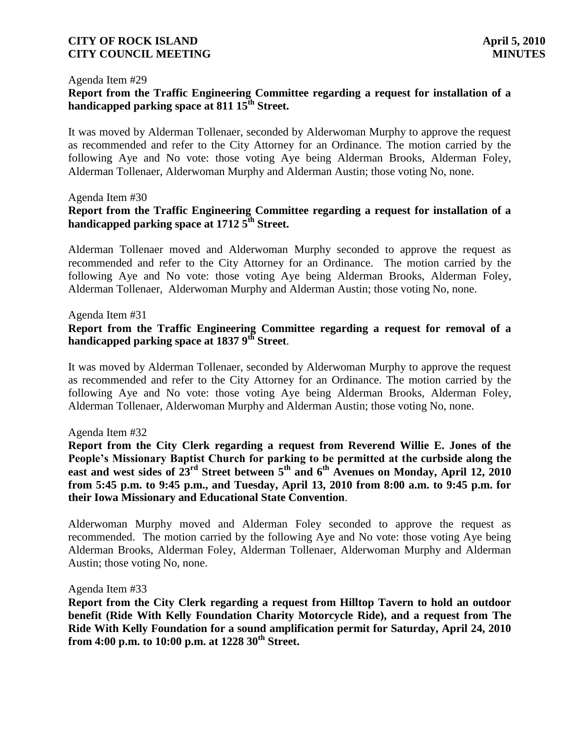#### Agenda Item #29

# **Report from the Traffic Engineering Committee regarding a request for installation of a handicapped parking space at 811 15th Street.**

It was moved by Alderman Tollenaer, seconded by Alderwoman Murphy to approve the request as recommended and refer to the City Attorney for an Ordinance. The motion carried by the following Aye and No vote: those voting Aye being Alderman Brooks, Alderman Foley, Alderman Tollenaer, Alderwoman Murphy and Alderman Austin; those voting No, none.

#### Agenda Item #30

# **Report from the Traffic Engineering Committee regarding a request for installation of a handicapped parking space at 1712 5th Street.**

Alderman Tollenaer moved and Alderwoman Murphy seconded to approve the request as recommended and refer to the City Attorney for an Ordinance. The motion carried by the following Aye and No vote: those voting Aye being Alderman Brooks, Alderman Foley, Alderman Tollenaer, Alderwoman Murphy and Alderman Austin; those voting No, none.

#### Agenda Item #31

#### **Report from the Traffic Engineering Committee regarding a request for removal of a handicapped parking space at 1837 9th Street**.

It was moved by Alderman Tollenaer, seconded by Alderwoman Murphy to approve the request as recommended and refer to the City Attorney for an Ordinance. The motion carried by the following Aye and No vote: those voting Aye being Alderman Brooks, Alderman Foley, Alderman Tollenaer, Alderwoman Murphy and Alderman Austin; those voting No, none.

#### Agenda Item #32

**Report from the City Clerk regarding a request from Reverend Willie E. Jones of the People's Missionary Baptist Church for parking to be permitted at the curbside along the east and west sides of 23rd Street between 5th and 6th Avenues on Monday, April 12, 2010 from 5:45 p.m. to 9:45 p.m., and Tuesday, April 13, 2010 from 8:00 a.m. to 9:45 p.m. for their Iowa Missionary and Educational State Convention**.

Alderwoman Murphy moved and Alderman Foley seconded to approve the request as recommended. The motion carried by the following Aye and No vote: those voting Aye being Alderman Brooks, Alderman Foley, Alderman Tollenaer, Alderwoman Murphy and Alderman Austin; those voting No, none.

#### Agenda Item #33

**Report from the City Clerk regarding a request from Hilltop Tavern to hold an outdoor benefit (Ride With Kelly Foundation Charity Motorcycle Ride), and a request from The Ride With Kelly Foundation for a sound amplification permit for Saturday, April 24, 2010 from 4:00 p.m. to 10:00 p.m. at 1228 30th Street.**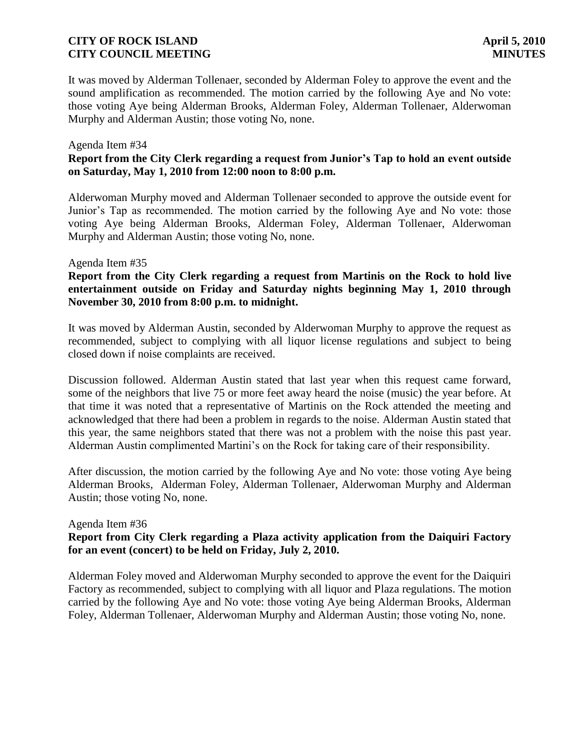It was moved by Alderman Tollenaer, seconded by Alderman Foley to approve the event and the sound amplification as recommended. The motion carried by the following Aye and No vote: those voting Aye being Alderman Brooks, Alderman Foley, Alderman Tollenaer, Alderwoman Murphy and Alderman Austin; those voting No, none.

#### Agenda Item #34 **Report from the City Clerk regarding a request from Junior's Tap to hold an event outside on Saturday, May 1, 2010 from 12:00 noon to 8:00 p.m.**

Alderwoman Murphy moved and Alderman Tollenaer seconded to approve the outside event for Junior's Tap as recommended. The motion carried by the following Aye and No vote: those voting Aye being Alderman Brooks, Alderman Foley, Alderman Tollenaer, Alderwoman Murphy and Alderman Austin; those voting No, none.

#### Agenda Item #35

# **Report from the City Clerk regarding a request from Martinis on the Rock to hold live entertainment outside on Friday and Saturday nights beginning May 1, 2010 through November 30, 2010 from 8:00 p.m. to midnight.**

It was moved by Alderman Austin, seconded by Alderwoman Murphy to approve the request as recommended, subject to complying with all liquor license regulations and subject to being closed down if noise complaints are received.

Discussion followed. Alderman Austin stated that last year when this request came forward, some of the neighbors that live 75 or more feet away heard the noise (music) the year before. At that time it was noted that a representative of Martinis on the Rock attended the meeting and acknowledged that there had been a problem in regards to the noise. Alderman Austin stated that this year, the same neighbors stated that there was not a problem with the noise this past year. Alderman Austin complimented Martini's on the Rock for taking care of their responsibility.

After discussion, the motion carried by the following Aye and No vote: those voting Aye being Alderman Brooks, Alderman Foley, Alderman Tollenaer, Alderwoman Murphy and Alderman Austin; those voting No, none.

#### Agenda Item #36

# **Report from City Clerk regarding a Plaza activity application from the Daiquiri Factory for an event (concert) to be held on Friday, July 2, 2010.**

Alderman Foley moved and Alderwoman Murphy seconded to approve the event for the Daiquiri Factory as recommended, subject to complying with all liquor and Plaza regulations. The motion carried by the following Aye and No vote: those voting Aye being Alderman Brooks, Alderman Foley, Alderman Tollenaer, Alderwoman Murphy and Alderman Austin; those voting No, none.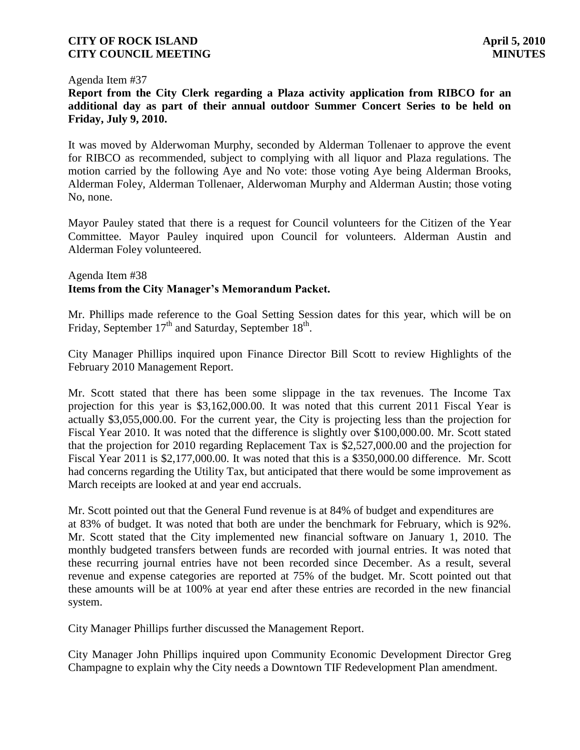#### Agenda Item #37

**Report from the City Clerk regarding a Plaza activity application from RIBCO for an additional day as part of their annual outdoor Summer Concert Series to be held on Friday, July 9, 2010.**

It was moved by Alderwoman Murphy, seconded by Alderman Tollenaer to approve the event for RIBCO as recommended, subject to complying with all liquor and Plaza regulations. The motion carried by the following Aye and No vote: those voting Aye being Alderman Brooks, Alderman Foley, Alderman Tollenaer, Alderwoman Murphy and Alderman Austin; those voting No, none.

Mayor Pauley stated that there is a request for Council volunteers for the Citizen of the Year Committee. Mayor Pauley inquired upon Council for volunteers. Alderman Austin and Alderman Foley volunteered.

#### Agenda Item #38 **Items from the City Manager's Memorandum Packet.**

Mr. Phillips made reference to the Goal Setting Session dates for this year, which will be on Friday, September  $17<sup>th</sup>$  and Saturday, September  $18<sup>th</sup>$ .

City Manager Phillips inquired upon Finance Director Bill Scott to review Highlights of the February 2010 Management Report.

Mr. Scott stated that there has been some slippage in the tax revenues. The Income Tax projection for this year is \$3,162,000.00. It was noted that this current 2011 Fiscal Year is actually \$3,055,000.00. For the current year, the City is projecting less than the projection for Fiscal Year 2010. It was noted that the difference is slightly over \$100,000.00. Mr. Scott stated that the projection for 2010 regarding Replacement Tax is \$2,527,000.00 and the projection for Fiscal Year 2011 is \$2,177,000.00. It was noted that this is a \$350,000.00 difference. Mr. Scott had concerns regarding the Utility Tax, but anticipated that there would be some improvement as March receipts are looked at and year end accruals.

Mr. Scott pointed out that the General Fund revenue is at 84% of budget and expenditures are at 83% of budget. It was noted that both are under the benchmark for February, which is 92%. Mr. Scott stated that the City implemented new financial software on January 1, 2010. The monthly budgeted transfers between funds are recorded with journal entries. It was noted that these recurring journal entries have not been recorded since December. As a result, several revenue and expense categories are reported at 75% of the budget. Mr. Scott pointed out that these amounts will be at 100% at year end after these entries are recorded in the new financial system.

City Manager Phillips further discussed the Management Report.

City Manager John Phillips inquired upon Community Economic Development Director Greg Champagne to explain why the City needs a Downtown TIF Redevelopment Plan amendment.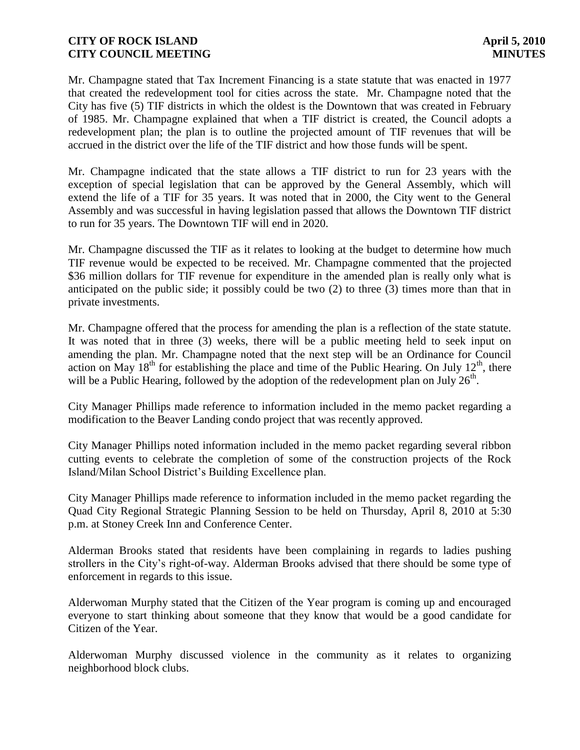Mr. Champagne stated that Tax Increment Financing is a state statute that was enacted in 1977 that created the redevelopment tool for cities across the state. Mr. Champagne noted that the City has five (5) TIF districts in which the oldest is the Downtown that was created in February of 1985. Mr. Champagne explained that when a TIF district is created, the Council adopts a redevelopment plan; the plan is to outline the projected amount of TIF revenues that will be accrued in the district over the life of the TIF district and how those funds will be spent.

Mr. Champagne indicated that the state allows a TIF district to run for 23 years with the exception of special legislation that can be approved by the General Assembly, which will extend the life of a TIF for 35 years. It was noted that in 2000, the City went to the General Assembly and was successful in having legislation passed that allows the Downtown TIF district to run for 35 years. The Downtown TIF will end in 2020.

Mr. Champagne discussed the TIF as it relates to looking at the budget to determine how much TIF revenue would be expected to be received. Mr. Champagne commented that the projected \$36 million dollars for TIF revenue for expenditure in the amended plan is really only what is anticipated on the public side; it possibly could be two (2) to three (3) times more than that in private investments.

Mr. Champagne offered that the process for amending the plan is a reflection of the state statute. It was noted that in three (3) weeks, there will be a public meeting held to seek input on amending the plan. Mr. Champagne noted that the next step will be an Ordinance for Council action on May  $18<sup>th</sup>$  for establishing the place and time of the Public Hearing. On July  $12<sup>th</sup>$ , there will be a Public Hearing, followed by the adoption of the redevelopment plan on July  $26<sup>th</sup>$ .

City Manager Phillips made reference to information included in the memo packet regarding a modification to the Beaver Landing condo project that was recently approved.

City Manager Phillips noted information included in the memo packet regarding several ribbon cutting events to celebrate the completion of some of the construction projects of the Rock Island/Milan School District's Building Excellence plan.

City Manager Phillips made reference to information included in the memo packet regarding the Quad City Regional Strategic Planning Session to be held on Thursday, April 8, 2010 at 5:30 p.m. at Stoney Creek Inn and Conference Center.

Alderman Brooks stated that residents have been complaining in regards to ladies pushing strollers in the City's right-of-way. Alderman Brooks advised that there should be some type of enforcement in regards to this issue.

Alderwoman Murphy stated that the Citizen of the Year program is coming up and encouraged everyone to start thinking about someone that they know that would be a good candidate for Citizen of the Year.

Alderwoman Murphy discussed violence in the community as it relates to organizing neighborhood block clubs.